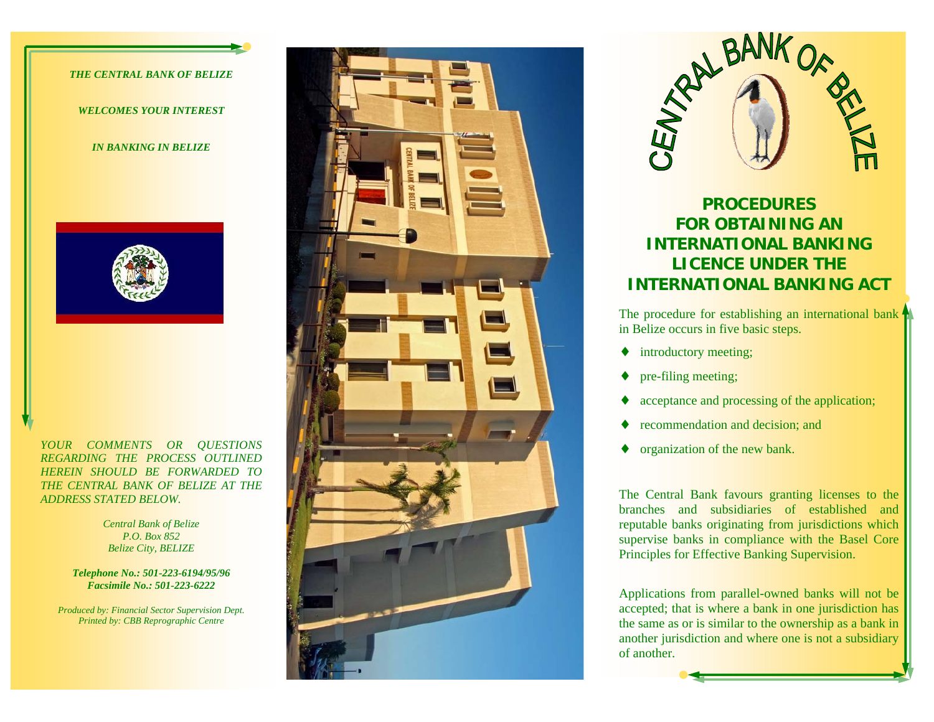#### *THE CENTRAL BANK OF BELIZE*

*WELCOMES YOUR INTEREST* 

*IN BANKING IN BELIZE* 



*YOUR COMMENTS OR QUESTIONS REGARDING THE PROCESS OUTLINED HEREIN SHOULD BE FORWARDED TO THE CENTRAL BANK OF BELIZE AT THE ADDRESS STATED BELOW.* 

> *Central Bank of Belize P.O. Box 852 Belize City, BELIZE*

*Telephone No.: 501-223-6194/95/96 Facsimile No.: 501-223-6222* 

*Produced by: Financial Sector Supervision Dept. Printed by: CBB Reprographic Centre* 





# **PROCEDURES FOR OBTAINING AN INTERNATIONAL BANKING LICENCE UNDER THE INTERNATIONAL BANKING ACT**

The procedure for establishing an international bank in Belize occurs in five basic steps.

- $\blacklozenge$  introductory meeting;
- pre-filing meeting;
- acceptance and processing of the application;
- recommendation and decision; and
- ♦ organization of the new bank.

The Central Bank favours granting licenses to the branches and subsidiaries of established and reputable banks originating from jurisdictions which supervise banks in compliance with the Basel Core Principles for Effective Banking Supervision.

Applications from parallel-owned banks will not be accepted; that is where a bank in one jurisdiction has the same as or is similar to the ownership as a bank in another jurisdiction and where one is not a subsidiary of another.